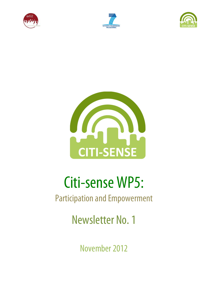







# Citi-sense WP5:

# Participation and Empowerment

Newsletter No. 1

November 2012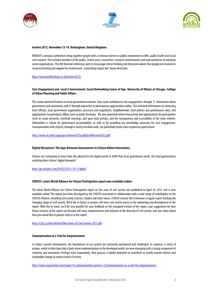





#### **Involve 2012. November 13-14. Nottingham, United Kingdom.**

INVOLVE's national conferences bring together people with a common interest in public involvement in NHS, public health and social care research. This includes members of the public, service users, researchers, research commissioners and representatives ofvoluntary sector organisations. This 8th biennial conference aims to encourage critical thinking and discussion about: how people are involved in research,learning and support for involvement, researching impactand future directions.

http://www.profbriefings.co.uk/involve2012/

# **Civic Engagement and Local E-Government: Social Networking Comes of Age. University of Illinois at Chicago. College of Urban Planning and Public Affairs.**

This study examined features on local government websites that could contribute to civic engagement, through 1) information about government and community, and 2) through interactive or participatory opportunities online. This included information on contacting local officials, local government organization, processes and regulations, neighborhoods, local policies and performance data, and opportunities to participate offline (such as public hearings). We also examined online interactivity and opportunities for participation (such as social networks, townhall meetings, and open data portals), and the transparency and accessibility of the main website. Information is critical for government accountability, as well as for providing the knowledge necessary for civic engagement. Communication with citizens, through a variety of online tools, can potentially foster more responsive government.

#### http://www.uic.edu/cuppa/ipce/interior/CELocalEGovSMExSum2012.pdf

#### **Digital Disconnect: The Gaps Between Government-to-Citizen Online Interactions.**

Citizens are continuing to move from the physical to the digital world to fulfill their local government needs. Are local governments satisfying their citizens' digital demands?

#### http://go.civicplus.com/l/9522/2012-10-17/8pk62

#### **CIVICUS: Latest World Alliance for Citizen Participation report now available online.**

The latest World Alliance for Citizen Participation report on the state of civil society was published on April 10, 2012 and is now available online! The report was been developed by the CIVICUS secretariat in collaboration with a wide range of stakeholders in the CIVICUS Alliance, including civil society activists, leaders and other voices. CIVICUS intends this to become a regular report tracking the changing shape of civil society. We'd like in future to involve still more civil society voices in the authorship and development of the report. With this in mind, we'd be very grateful for your feedback on this inaugural version of the report, your suggestions for how future versions of the report can become still more comprehensive and inclusive of the diversity of civil society, and your ideas about how you would like to partner with us in the report.

http://c2d2.ca/sites/default/files/State-of-Civil-Society-2011.pdf

#### **Communication as a Tool for Empowerment**

In today's current environment, the foundations of our system are constantly questioned and challenged. In response, a series of actions, which to date have had a fairly minor implementation in the developed world, are now emerging with a strong component of creativity and innovation. Perhaps most importantly, they possess a hidden potential to contribute to locally-owned reforms and sustainable change at various levels of society.

http://www.mascontext.com/issues/14-communication-summer-12/communication-as-a-tool-for-empowerment/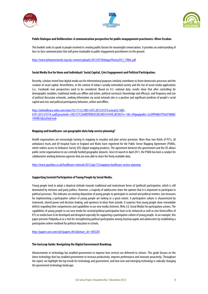





# **Public Dialogue and Deliberation: A communication perspective for public enagagement practioners. Oliver Escobar.**

This booklet seeks to speak to people involved in creating public forums for meaningful conversations. It provides an understanding of face-to-face communication that will prove invaluable to public engagement practitioners on the ground.

http://www.beltanenetwork.org/wp-content/uploads/2012/07/DialogueTheory2012\_FINAL.pdf

# **Social Media Use for News and Individuals' SocialCapital, Civic Engagement and Political Participation.**

Recently, scholars tested how digital media use for informational purposes similarly contributes tofoster democratic processes and the creation of social capital. Nevertheless, in the context of today's socially-networked-society and the rise of social media applications (i.e., Facebook) new perspectives need to be considered. Based on U.S. national data, results show that after controlling for demographic variables, traditional media use offline and online, political constructs (knowledge and efficacy), and frequency and size of political discussion networks, seeking information via social network sites is a positive and significant predictor of people's social capital and civic and political participatorybehaviors, online and offline.

http://onlinelibrary.wiley.com/store/10.1111/j.1083-6101.2012.01574.x/asset/j.1083-

6101.2012.01574.x.pdf;jsessionid=34E21C7C2A6DEFB9D452B238E341454E.d01t02?v=1&t=h9gxqupu&s=2a39f94db3795e0746882 1999f01db3af3eb1eeb

#### **Mapping and healthcare: can geographic data help service planning?**

Health organisations are increasingly turning to mapping to visualise and plan service provision. More than two thirds of PCTs, all ambulance trusts and 69 hospital trusts in England and Wales have registered for the Public Sector Mapping Agreement (PSMA), which widens access to Ordnance Survey (OS) digital mapping products. The agreement between the government and the OS allows public sector organisations to use centrally funded geographic datasets. Since its launch in April 2011, the PSMA has been a catalyst for collaborative working between agencies that are now able to share the freely available data.

http://www.guardian.co.uk/healthcare-network/2012/apr/12/mapping-healthcare-service-planning

# **Supporting Societal Participation of Young People by Social Media.**

Young people tend to adopt a skeptical attitude towards traditional and mainstream forms of (political) participation, which is still dominated by elections and party politics. However, a majority of adolescents share the opinion that it is important to participate in political processes. This indicates an existing disposition of young people to participate in societal and political matters, but measures for implementing a participative culture of young people are lacking to a great extent. A participative culture is characterized by teamwork, shared power and decision-making, and openness to ideas from outside. It surprises that young people show remarkable deficits regarding their competencies and capabilities to use new media (Internet, Web 2.0, Social Media) for participatory actions. The capabilities of young people to use new media for societal/political participation have to be enhanced as well as new forms/offers of ICTs or media have to be developed and designed especially for supporting a participative culture of young people. As an example, this paper presents Polipedia.at as a tool for strengthening political participation among Austrian pupils and adolescents by establishing a participative online-textbook for political education in schools.

http://papers.ssrn.com/sol3/papers.cfm?abstract\_id=1692201

# **The GovLoop Guide: Navigating the Digital Government Roadmap.**

Advancements in technology has enabled government to improve how services are delivered to citizens. This guide focuses on the latest technology that has enabled government to increase productivity, improve performance and innovate proactively. Throughout the report, we highlight the top trends for technology and government, and how new and emerging technology is radically changing the government technology landscape.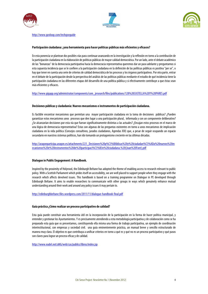





http://www.govloop.com/techgovguide

# **Participación ciudadana: ¿una herramienta para hacer políticas públicas más eficientes y eficaces?**

En esta ponencia se plantean dos posibles vías para continuar avanzando en la investigación y la reflexión en torno a la contribución de la participación ciudadana en la elaboración de políticas públicas de mayor calidad democrática. Por un lado, ante el debate académico de las "bonanzas" de la democracia participativa hacia la democracia representativa queremos dar un paso adelante y preguntarnos si esta supuesta incidencia que se le confiere a la participación ciudadana en la definición de las políticas públicas es positiva "per se", o hay que tener en cuenta una serie de criterios de calidad democrática de los procesos y los órganos participativos. Por otra parte, entrar en el debate de la participación desde la perspectiva del análisis de las políticas públicas mediante el estudio de qué incidencia tiene la participación ciudadana en las diferentes etapas del desarrollo de una política pública y si efectivamente contribuye a que éstas sean más eficientes y eficaces.

http://www.gigapp.org/administrator/components/com\_jresearch/files/publications/128%20CASTELLA%20Y%20PARES.pdf

# **Decisiones públicas y ciudadanía: Nuevos mecanismos e instrumentos de participación ciudadana.**

Es factible encontrar mecanismos que permitan una mayor participación ciudadana en la toma de decisiones públicas? ¿Pueden garantizar estos mecanismos unos procesos que den lugar a una participación plural, informada y con un componente deliberativo? ¿Se alcanzarían decisiones por esta vía que fueran significativamente distintas a las actuales? ¿Encajan estos procesos en el marco de una lógica de democracia representativa? Estas son algunas de las preguntas existentes en torno a unos mecanismos de implicación ciudadana en la vida política (Consejos consultivos, jurados ciudadanos, Agendas XXI) que, a pesar de seguir ocupando un espacio secundario en nuestros sistemas políticos, han ido tomando un protagonismo creciente en las últimas décadas.

http://aragonparticipa.aragon.es/attachments/221\_Decisiones%20p%C3%BAblicas%20y%20ciudadan%C3%ADa%20nuevos%20m ecanismos%20e%20instrumentos%20de%20participaci%C3%B3n%20ciudadana.%20(Joan%20Font).pdf

#### **Dialogue in Public Engagement: A Handbook.**

Inspired by the proximity of Holyrood, the Edinburgh Beltane has adopted the theme of enabling access to research relevant to public policy. With a Scottish Parliament which prides itself on accessibility, we are well placed to support people when they engage with the research which affects devolved issues. This handbook is based on a training programme on Dialogue in PE developed through Edinburgh Beltane. It aims to enable researchers to communicate with other groups in ways which genuinely enhance mutual understanding around their work and around any policy issues it may pertain to.

#### http://edinburghbeltane.files.wordpress.com/2011/11/dialogue-handbook-final.pdf

#### **Guía práctica ¿Cómo realizar un proceso participativo de calidad?**

Esta guía puede constituir una herramienta útil en la incorporación de la participación en la forma de hacer política municipal, y entender y gestionar los Ayuntamientos. Y es precisamente atendiendo a esta metodología participativa y de colaboración como se ha preparado esta guía que os presentamos, constituyendo ella misma una forma de trabajo participativa, un ejemplo de coordinación interinstitucional, con empresas y sociedad civil. una guía eminentemente práctica, un manual breve y sencillo estructurado de manera muy clara. El objetivo es que contribuya a unificar criterios en torno a qué es y qué no es un proceso participativo y qué pasos son claves paralograr un proceso eficaz y de calidad.

http://www.eudel.net/aNG/web/cas/publics/libros/index.jsp